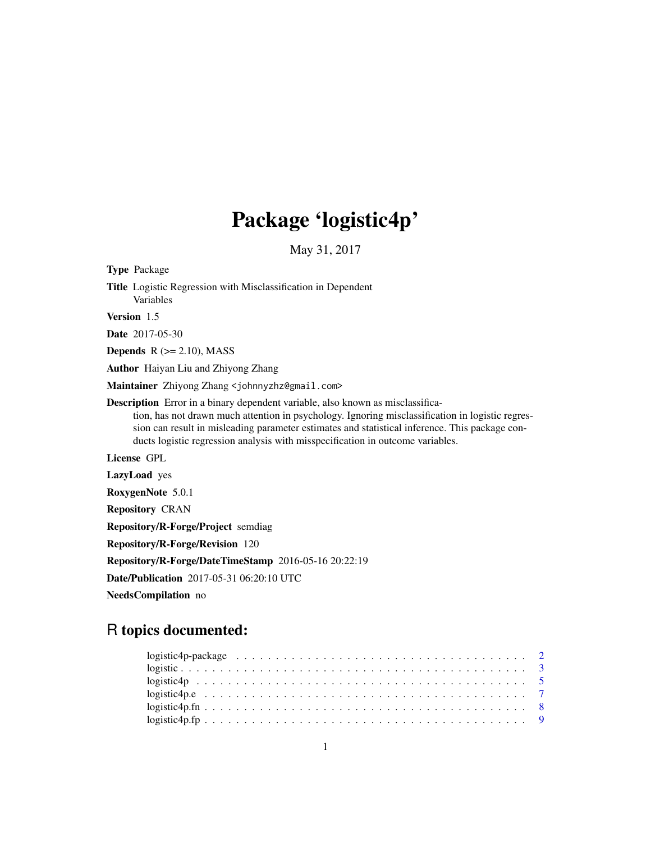## Package 'logistic4p'

May 31, 2017

Type Package Title Logistic Regression with Misclassification in Dependent Variables Version 1.5 Date 2017-05-30 **Depends**  $R$  ( $>= 2.10$ ), MASS Author Haiyan Liu and Zhiyong Zhang Maintainer Zhiyong Zhang <johnnyzhz@gmail.com> Description Error in a binary dependent variable, also known as misclassification, has not drawn much attention in psychology. Ignoring misclassification in logistic regression can result in misleading parameter estimates and statistical inference. This package conducts logistic regression analysis with misspecification in outcome variables. License GPL LazyLoad yes RoxygenNote 5.0.1 Repository CRAN Repository/R-Forge/Project semdiag Repository/R-Forge/Revision 120 Repository/R-Forge/DateTimeStamp 2016-05-16 20:22:19

Date/Publication 2017-05-31 06:20:10 UTC

NeedsCompilation no

## R topics documented:

| $logistic4p.fn \ldots \ldots \ldots \ldots \ldots \ldots \ldots \ldots \ldots \ldots \ldots \ldots$ |  |
|-----------------------------------------------------------------------------------------------------|--|
|                                                                                                     |  |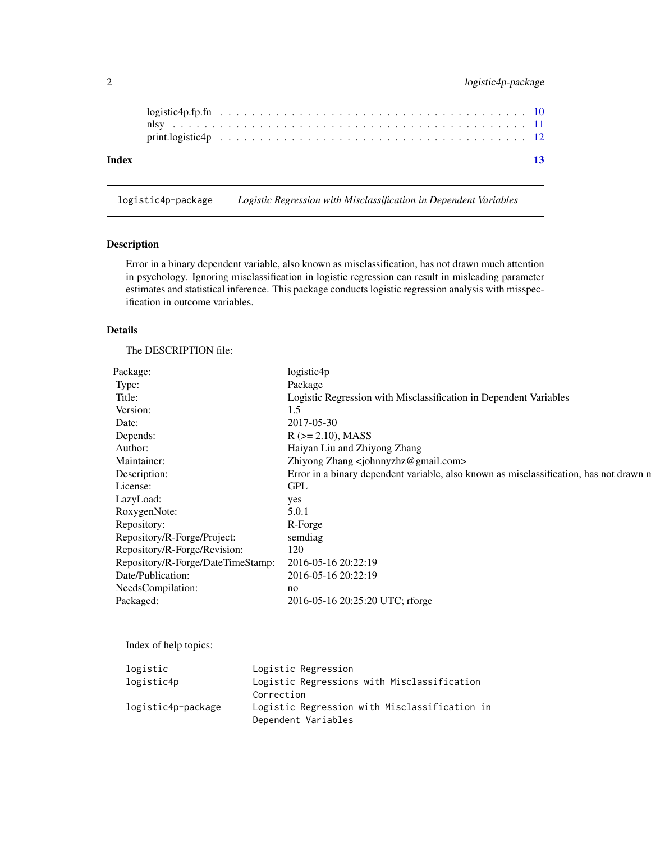<span id="page-1-0"></span>

| Index |  |  |  |  |  |  |  |  |  |  |  |  |  |  |  |  | 13 |
|-------|--|--|--|--|--|--|--|--|--|--|--|--|--|--|--|--|----|

logistic4p-package *Logistic Regression with Misclassification in Dependent Variables*

#### Description

Error in a binary dependent variable, also known as misclassification, has not drawn much attention in psychology. Ignoring misclassification in logistic regression can result in misleading parameter estimates and statistical inference. This package conducts logistic regression analysis with misspecification in outcome variables.

#### Details

The DESCRIPTION file:

| Package:                          | logistic4p                                                                             |
|-----------------------------------|----------------------------------------------------------------------------------------|
| Type:                             | Package                                                                                |
| Title:                            | Logistic Regression with Misclassification in Dependent Variables                      |
| Version:                          | 1.5                                                                                    |
| Date:                             | 2017-05-30                                                                             |
| Depends:                          | $R$ ( $>= 2.10$ ), MASS                                                                |
| Author:                           | Haiyan Liu and Zhiyong Zhang                                                           |
| Maintainer:                       | Zhiyong Zhang <johnnyzhz@gmail.com></johnnyzhz@gmail.com>                              |
| Description:                      | Error in a binary dependent variable, also known as misclassification, has not drawn n |
| License:                          | <b>GPL</b>                                                                             |
| LazyLoad:                         | yes                                                                                    |
| RoxygenNote:                      | 5.0.1                                                                                  |
| Repository:                       | R-Forge                                                                                |
| Repository/R-Forge/Project:       | semdiag                                                                                |
| Repository/R-Forge/Revision:      | 120                                                                                    |
| Repository/R-Forge/DateTimeStamp: | 2016-05-16 20:22:19                                                                    |
| Date/Publication:                 | 2016-05-16 20:22:19                                                                    |
| NeedsCompilation:                 | no                                                                                     |
| Packaged:                         | 2016-05-16 20:25:20 UTC; rforge                                                        |
|                                   |                                                                                        |

Index of help topics:

| logistic           | Logistic Regression                           |
|--------------------|-----------------------------------------------|
| logistic4p         | Logistic Regressions with Misclassification   |
|                    | Correction                                    |
| logistic4p-package | Logistic Regression with Misclassification in |
|                    | Dependent Variables                           |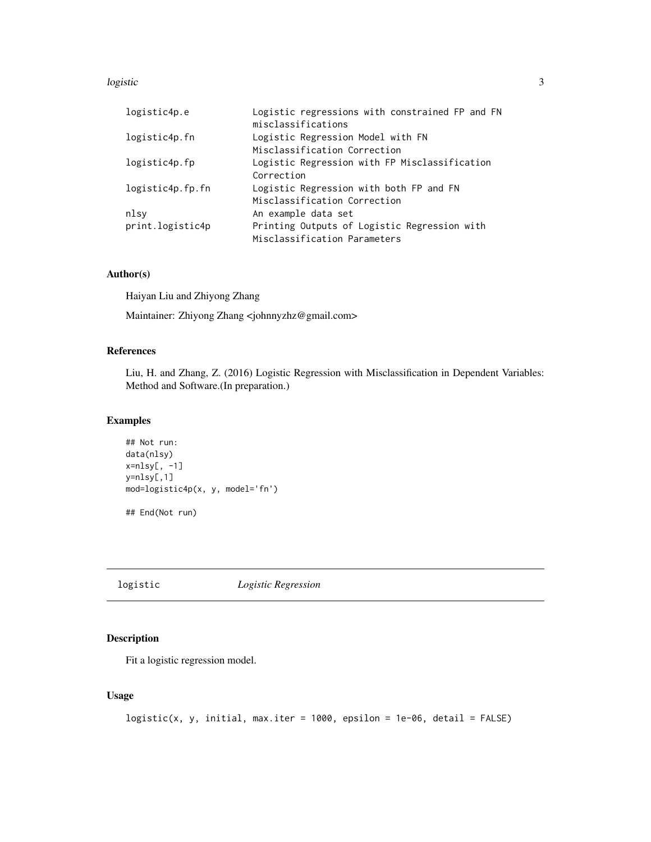#### <span id="page-2-0"></span>logistic 3

| logistic4p.e     | Logistic regressions with constrained FP and FN<br>misclassifications |  |  |  |  |  |
|------------------|-----------------------------------------------------------------------|--|--|--|--|--|
| logistic4p.fn    | Logistic Regression Model with FN                                     |  |  |  |  |  |
|                  | Misclassification Correction                                          |  |  |  |  |  |
| logistic4p.fp    | Logistic Regression with FP Misclassification                         |  |  |  |  |  |
|                  | Correction                                                            |  |  |  |  |  |
| logistic4p.fp.fn | Logistic Regression with both FP and FN                               |  |  |  |  |  |
|                  | Misclassification Correction                                          |  |  |  |  |  |
| nlsv             | An example data set                                                   |  |  |  |  |  |
| print.logistic4p | Printing Outputs of Logistic Regression with                          |  |  |  |  |  |
|                  | Misclassification Parameters                                          |  |  |  |  |  |

#### Author(s)

Haiyan Liu and Zhiyong Zhang

Maintainer: Zhiyong Zhang <johnnyzhz@gmail.com>

#### References

Liu, H. and Zhang, Z. (2016) Logistic Regression with Misclassification in Dependent Variables: Method and Software.(In preparation.)

## Examples

```
## Not run:
data(nlsy)
x=nlsy[, -1]
y=nlsy[,1]
mod=logistic4p(x, y, model='fn')
## End(Not run)
```
logistic *Logistic Regression*

## Description

Fit a logistic regression model.

## Usage

```
logistic(x, y, initial, max.iter = 1000, epsilon = 1e-06, detail = FALSE)
```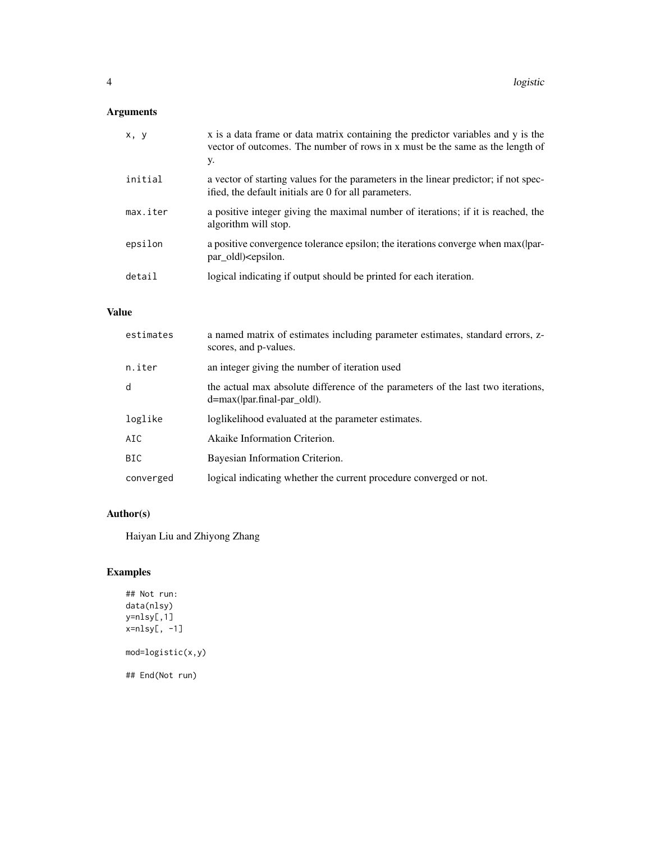## Arguments

| x, y     | x is a data frame or data matrix containing the predictor variables and y is the<br>vector of outcomes. The number of rows in x must be the same as the length of<br>у. |
|----------|-------------------------------------------------------------------------------------------------------------------------------------------------------------------------|
| initial  | a vector of starting values for the parameters in the linear predictor; if not spec-<br>ified, the default initials are 0 for all parameters.                           |
| max.iter | a positive integer giving the maximal number of iterations; if it is reached, the<br>algorithm will stop.                                                               |
| epsilon  | a positive convergence tolerance epsilon; the iterations converge when max(par-<br>par_oldl) <epsilon.< td=""></epsilon.<>                                              |
| detail   | logical indicating if output should be printed for each iteration.                                                                                                      |

#### Value

| estimates | a named matrix of estimates including parameter estimates, standard errors, z-<br>scores, and p-values.              |
|-----------|----------------------------------------------------------------------------------------------------------------------|
| n.iter    | an integer giving the number of iteration used                                                                       |
| d         | the actual max absolute difference of the parameters of the last two iterations,<br>$d = max($  par.final-par_old ). |
| loglike   | loglikelihood evaluated at the parameter estimates.                                                                  |
| AIC       | Akaike Information Criterion.                                                                                        |
| BIC       | Bayesian Information Criterion.                                                                                      |
| converged | logical indicating whether the current procedure converged or not.                                                   |

#### Author(s)

Haiyan Liu and Zhiyong Zhang

## Examples

```
## Not run:
data(nlsy)
y=nlsy[,1]
x=nlsy[, -1]
mod=logistic(x,y)
## End(Not run)
```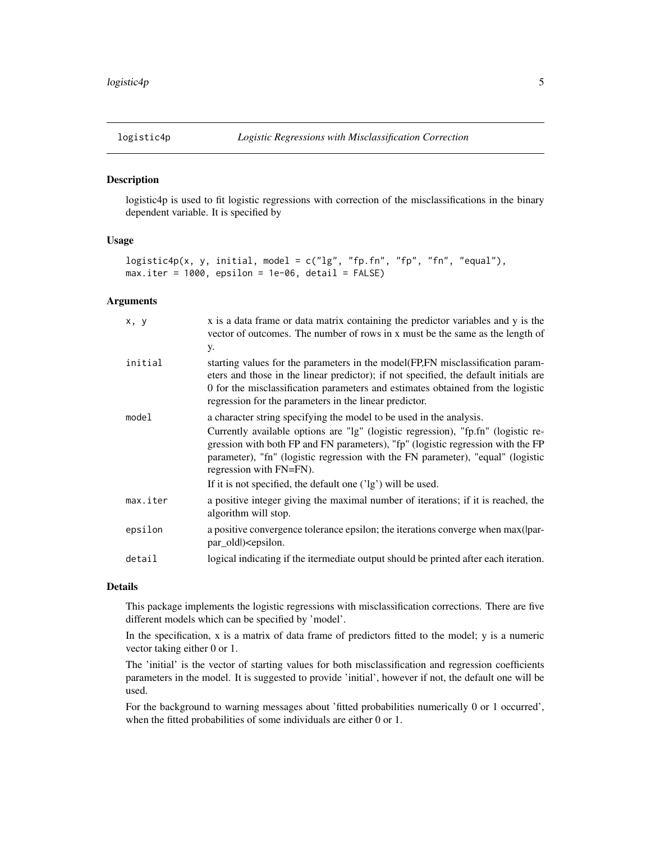<span id="page-4-0"></span>

#### Description

logistic4p is used to fit logistic regressions with correction of the misclassifications in the binary dependent variable. It is specified by

#### Usage

```
logistic4p(x, y, initial, model = c("lg", "fp.fn", "fp", "fn", "equal"),max.iter = 1000, epsilon = 1e-06, detail = FALSE)
```
#### Arguments

| x, y     | x is a data frame or data matrix containing the predictor variables and y is the<br>vector of outcomes. The number of rows in x must be the same as the length of<br>у.                                                                                                                                                                                                                                                   |
|----------|---------------------------------------------------------------------------------------------------------------------------------------------------------------------------------------------------------------------------------------------------------------------------------------------------------------------------------------------------------------------------------------------------------------------------|
| initial  | starting values for the parameters in the model (FP, FN misclassification param-<br>eters and those in the linear predictor); if not specified, the default initials are<br>0 for the misclassification parameters and estimates obtained from the logistic<br>regression for the parameters in the linear predictor.                                                                                                     |
| model    | a character string specifying the model to be used in the analysis.<br>Currently available options are "lg" (logistic regression), "fp.fn" (logistic re-<br>gression with both FP and FN parameters), "fp" (logistic regression with the FP<br>parameter), "fn" (logistic regression with the FN parameter), "equal" (logistic<br>regression with FN=FN).<br>If it is not specified, the default one ('lg') will be used. |
| max.iter | a positive integer giving the maximal number of iterations; if it is reached, the<br>algorithm will stop.                                                                                                                                                                                                                                                                                                                 |
| epsilon  | a positive convergence tolerance epsilon; the iterations converge when max(par-<br>par_oldl) <epsilon.< td=""></epsilon.<>                                                                                                                                                                                                                                                                                                |
| detail   | logical indicating if the itermediate output should be printed after each iteration.                                                                                                                                                                                                                                                                                                                                      |
|          |                                                                                                                                                                                                                                                                                                                                                                                                                           |

#### Details

This package implements the logistic regressions with misclassification corrections. There are five different models which can be specified by 'model'.

In the specification, x is a matrix of data frame of predictors fitted to the model; y is a numeric vector taking either 0 or 1.

The 'initial' is the vector of starting values for both misclassification and regression coefficients parameters in the model. It is suggested to provide 'initial', however if not, the default one will be used.

For the background to warning messages about 'fitted probabilities numerically 0 or 1 occurred', when the fitted probabilities of some individuals are either 0 or 1.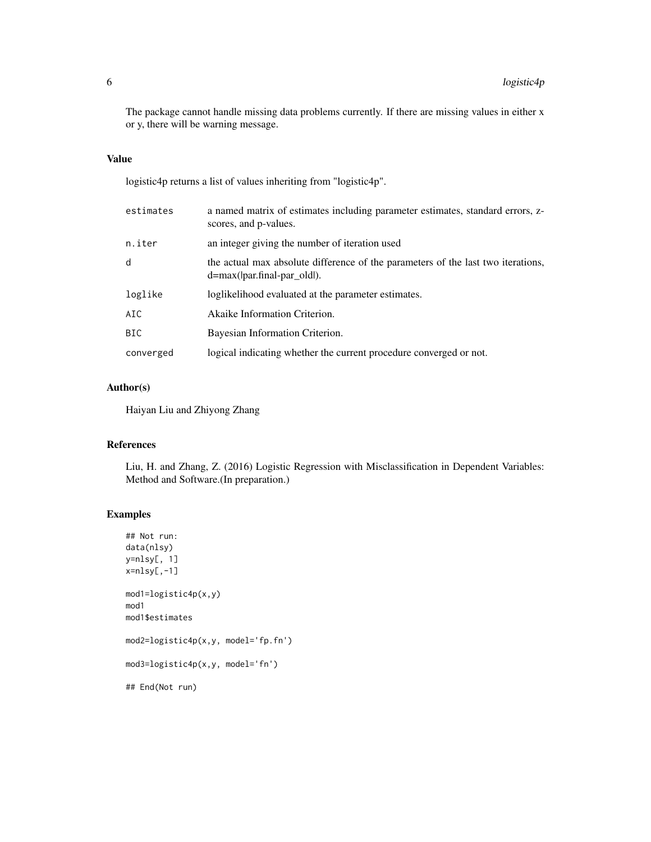The package cannot handle missing data problems currently. If there are missing values in either x or y, there will be warning message.

#### Value

logistic4p returns a list of values inheriting from "logistic4p".

| estimates  | a named matrix of estimates including parameter estimates, standard errors, z-<br>scores, and p-values.              |
|------------|----------------------------------------------------------------------------------------------------------------------|
| n.iter     | an integer giving the number of iteration used                                                                       |
| d          | the actual max absolute difference of the parameters of the last two iterations,<br>$d = max($  par.final-par old ). |
| loglike    | loglikelihood evaluated at the parameter estimates.                                                                  |
| AIC.       | Akaike Information Criterion.                                                                                        |
| <b>BIC</b> | Bayesian Information Criterion.                                                                                      |
| converged  | logical indicating whether the current procedure converged or not.                                                   |

#### Author(s)

Haiyan Liu and Zhiyong Zhang

## References

Liu, H. and Zhang, Z. (2016) Logistic Regression with Misclassification in Dependent Variables: Method and Software.(In preparation.)

#### Examples

```
## Not run:
data(nlsy)
y=nlsy[, 1]
x=nlsy[,-1]
mod1=logistic4p(x,y)
mod1
mod1$estimates
mod2=logistic4p(x,y, model='fp.fn')
mod3=logistic4p(x,y, model='fn')
## End(Not run)
```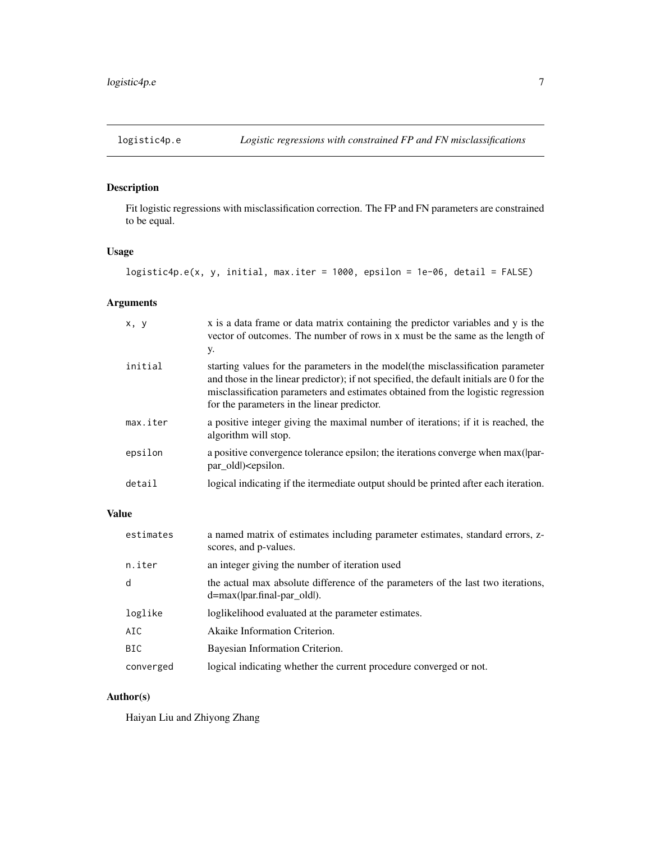<span id="page-6-0"></span>

## Description

Fit logistic regressions with misclassification correction. The FP and FN parameters are constrained to be equal.

#### Usage

```
logistic4p.e(x, y, initial, max.iter = 1000, epsilon = 1e-06, detail = FALSE)
```
#### Arguments

| x, y     | x is a data frame or data matrix containing the predictor variables and y is the<br>vector of outcomes. The number of rows in x must be the same as the length of<br>у.                                                                                                                                         |
|----------|-----------------------------------------------------------------------------------------------------------------------------------------------------------------------------------------------------------------------------------------------------------------------------------------------------------------|
| initial  | starting values for the parameters in the model (the misclassification parameter<br>and those in the linear predictor); if not specified, the default initials are 0 for the<br>misclassification parameters and estimates obtained from the logistic regression<br>for the parameters in the linear predictor. |
| max.iter | a positive integer giving the maximal number of iterations; if it is reached, the<br>algorithm will stop.                                                                                                                                                                                                       |
| epsilon  | a positive convergence tolerance epsilon; the iterations converge when max(lpar-<br>par old) <epsilon.< td=""></epsilon.<>                                                                                                                                                                                      |
| detail   | logical indicating if the itermediate output should be printed after each iteration.                                                                                                                                                                                                                            |

#### Value

| estimates | a named matrix of estimates including parameter estimates, standard errors, z-<br>scores, and p-values.              |
|-----------|----------------------------------------------------------------------------------------------------------------------|
| n.iter    | an integer giving the number of iteration used                                                                       |
| d         | the actual max absolute difference of the parameters of the last two iterations,<br>$d = max($  par.final-par old ). |
| loglike   | loglikelihood evaluated at the parameter estimates.                                                                  |
| AIC       | Akaike Information Criterion.                                                                                        |
| BIC.      | Bayesian Information Criterion.                                                                                      |
| converged | logical indicating whether the current procedure converged or not.                                                   |

## Author(s)

Haiyan Liu and Zhiyong Zhang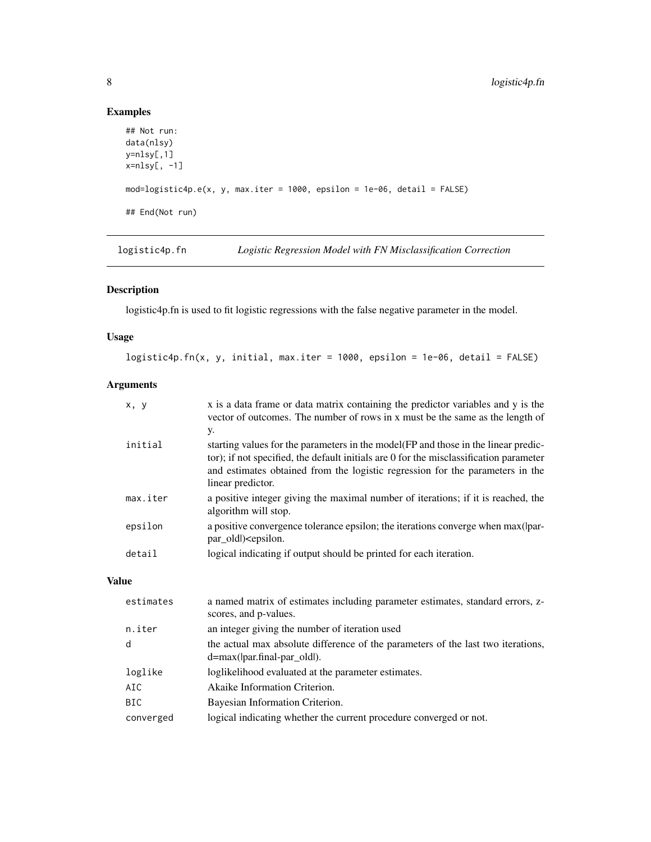## Examples

```
## Not run:
data(nlsy)
y=nlsy[,1]
x=nlsy[, -1]
mod=logistic4p.e(x, y, max.iter = 1000, epsilon = 1e-06, detail = FALSE)
## End(Not run)
```
logistic4p.fn *Logistic Regression Model with FN Misclassification Correction*

#### Description

logistic4p.fn is used to fit logistic regressions with the false negative parameter in the model.

#### Usage

logistic4p.fn(x, y, initial, max.iter = 1000, epsilon = 1e-06, detail = FALSE)

#### Arguments

| x, y     | x is a data frame or data matrix containing the predictor variables and y is the<br>vector of outcomes. The number of rows in x must be the same as the length of                                                                                                                   |
|----------|-------------------------------------------------------------------------------------------------------------------------------------------------------------------------------------------------------------------------------------------------------------------------------------|
|          | y.                                                                                                                                                                                                                                                                                  |
| initial  | starting values for the parameters in the model (FP and those in the linear predic-<br>tor); if not specified, the default initials are 0 for the misclassification parameter<br>and estimates obtained from the logistic regression for the parameters in the<br>linear predictor. |
| max.iter | a positive integer giving the maximal number of iterations; if it is reached, the<br>algorithm will stop.                                                                                                                                                                           |
| epsilon  | a positive convergence tolerance epsilon; the iterations converge when max(par-<br>par_oldl) <epsilon.< td=""></epsilon.<>                                                                                                                                                          |
| detail   | logical indicating if output should be printed for each iteration.                                                                                                                                                                                                                  |

#### Value

| a named matrix of estimates including parameter estimates, standard errors, z-<br>scores, and p-values.                 |
|-------------------------------------------------------------------------------------------------------------------------|
| an integer giving the number of iteration used                                                                          |
| the actual max absolute difference of the parameters of the last two iterations,<br>$d = max($  par.final-par old $)$ . |
| loglikelihood evaluated at the parameter estimates.                                                                     |
| Akaike Information Criterion.                                                                                           |
| Bayesian Information Criterion.                                                                                         |
| logical indicating whether the current procedure converged or not.                                                      |
|                                                                                                                         |

<span id="page-7-0"></span>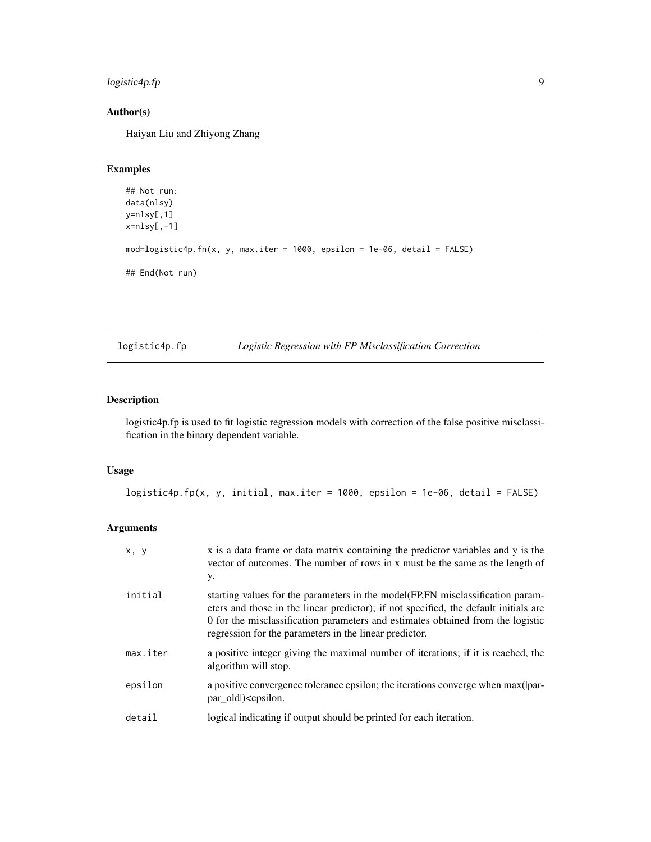## <span id="page-8-0"></span>logistic4p.fp 9

#### Author(s)

Haiyan Liu and Zhiyong Zhang

## Examples

```
## Not run:
data(nlsy)
y=nlsy[,1]
x=nlsy[,-1]
mod=logistic4p.fn(x, y, max.iter = 1000, epsilon = 1e-06, detail = FALSE)
## End(Not run)
```
#### logistic4p.fp *Logistic Regression with FP Misclassification Correction*

#### Description

logistic4p.fp is used to fit logistic regression models with correction of the false positive misclassification in the binary dependent variable.

#### Usage

logistic4p.fp(x, y, initial, max.iter = 1000, epsilon = 1e-06, detail = FALSE)

#### Arguments

| x, y     | x is a data frame or data matrix containing the predictor variables and y is the<br>vector of outcomes. The number of rows in x must be the same as the length of<br>y.                                                                                                                                               |
|----------|-----------------------------------------------------------------------------------------------------------------------------------------------------------------------------------------------------------------------------------------------------------------------------------------------------------------------|
| initial  | starting values for the parameters in the model (FP, FN misclassification param-<br>eters and those in the linear predictor); if not specified, the default initials are<br>0 for the misclassification parameters and estimates obtained from the logistic<br>regression for the parameters in the linear predictor. |
| max.iter | a positive integer giving the maximal number of iterations; if it is reached, the<br>algorithm will stop.                                                                                                                                                                                                             |
| epsilon  | a positive convergence tolerance epsilon; the iterations converge when max(par-<br>par_oldl) <epsilon.< td=""></epsilon.<>                                                                                                                                                                                            |
| detail   | logical indicating if output should be printed for each iteration.                                                                                                                                                                                                                                                    |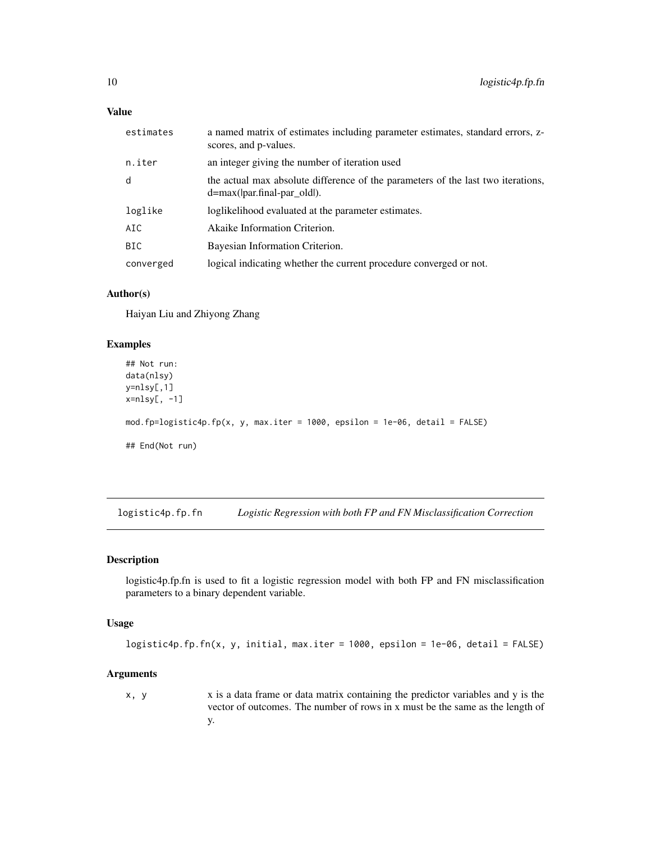<span id="page-9-0"></span>

| estimates | a named matrix of estimates including parameter estimates, standard errors, z-<br>scores, and p-values.              |
|-----------|----------------------------------------------------------------------------------------------------------------------|
| n.iter    | an integer giving the number of iteration used                                                                       |
| d         | the actual max absolute difference of the parameters of the last two iterations,<br>$d = max($  par.final-par_old ). |
| loglike   | loglikelihood evaluated at the parameter estimates.                                                                  |
| AIC       | Akaike Information Criterion.                                                                                        |
| BIC.      | Bayesian Information Criterion.                                                                                      |
| converged | logical indicating whether the current procedure converged or not.                                                   |

#### Author(s)

Haiyan Liu and Zhiyong Zhang

#### Examples

```
## Not run:
data(nlsy)
y=nlsy[,1]
x=nlsy[, -1]mod.fp=logistic4p.fp(x, y, max.iter = 1000, epsilon = 1e-06, detail = FALSE)
## End(Not run)
```
logistic4p.fp.fn *Logistic Regression with both FP and FN Misclassification Correction*

## Description

logistic4p.fp.fn is used to fit a logistic regression model with both FP and FN misclassification parameters to a binary dependent variable.

#### Usage

```
logistic4p.fp.fn(x, y, initial, max.iter = 1000, epsilon = 1e-06, detail = FALSE)
```
#### Arguments

x, y x is a data frame or data matrix containing the predictor variables and y is the vector of outcomes. The number of rows in x must be the same as the length of y.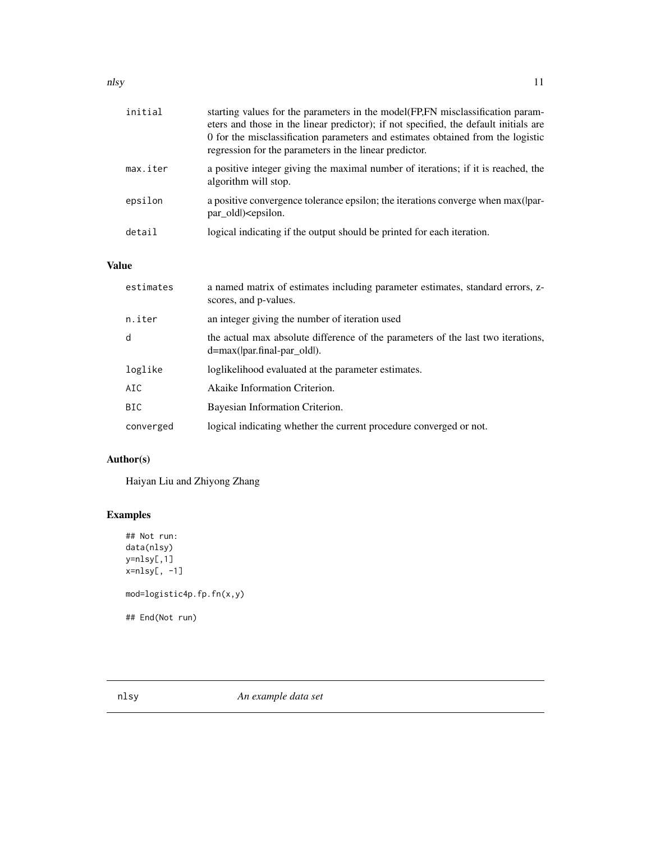#### <span id="page-10-0"></span>nlsy the contract of the contract of the contract of the contract of the contract of the contract of the contract of the contract of the contract of the contract of the contract of the contract of the contract of the contr

| initial  | starting values for the parameters in the model(FP,FN misclassification param-<br>eters and those in the linear predictor); if not specified, the default initials are<br>0 for the misclassification parameters and estimates obtained from the logistic<br>regression for the parameters in the linear predictor. |
|----------|---------------------------------------------------------------------------------------------------------------------------------------------------------------------------------------------------------------------------------------------------------------------------------------------------------------------|
| max.iter | a positive integer giving the maximal number of iterations; if it is reached, the<br>algorithm will stop.                                                                                                                                                                                                           |
| epsilon  | a positive convergence tolerance epsilon; the iterations converge when max(par-<br>par old) <epsilon.< td=""></epsilon.<>                                                                                                                                                                                           |
| detail   | logical indicating if the output should be printed for each iteration.                                                                                                                                                                                                                                              |

## Value

| estimates  | a named matrix of estimates including parameter estimates, standard errors, z-<br>scores, and p-values.                 |
|------------|-------------------------------------------------------------------------------------------------------------------------|
| n.iter     | an integer giving the number of iteration used                                                                          |
| d          | the actual max absolute difference of the parameters of the last two iterations,<br>$d = max($  par.final-par old $)$ . |
| loglike    | loglikelihood evaluated at the parameter estimates.                                                                     |
| AIC        | Akaike Information Criterion.                                                                                           |
| <b>BIC</b> | Bayesian Information Criterion.                                                                                         |
| converged  | logical indicating whether the current procedure converged or not.                                                      |

## Author(s)

Haiyan Liu and Zhiyong Zhang

## Examples

```
## Not run:
data(nlsy)
y=nlsy[,1]
x=nlsy[, -1]
mod=logistic4p.fp.fn(x,y)
## End(Not run)
```
nlsy *An example data set*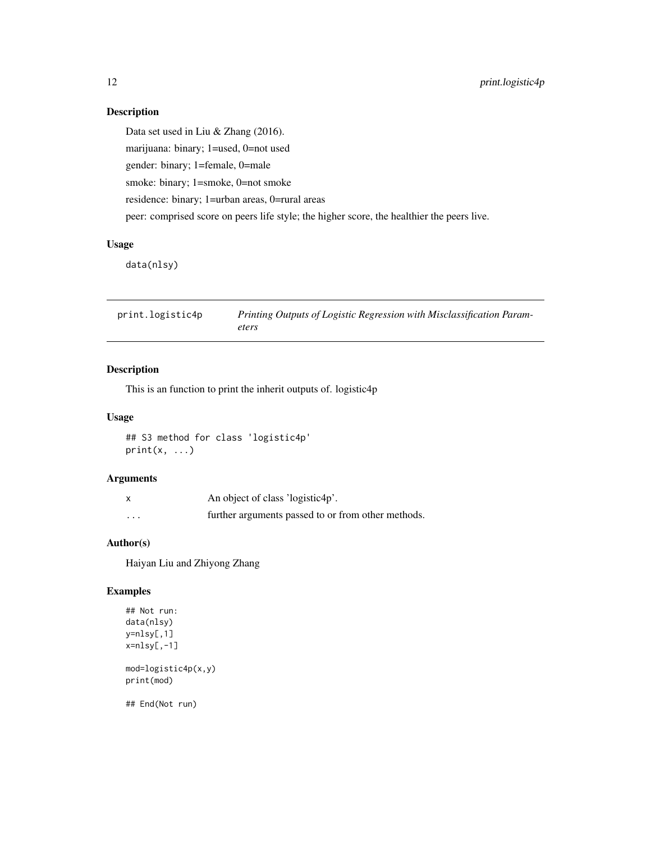#### <span id="page-11-0"></span>Description

Data set used in Liu & Zhang (2016). marijuana: binary; 1=used, 0=not used gender: binary; 1=female, 0=male smoke: binary; 1=smoke, 0=not smoke residence: binary; 1=urban areas, 0=rural areas peer: comprised score on peers life style; the higher score, the healthier the peers live.

## Usage

data(nlsy)

| print.logistic4p | Printing Outputs of Logistic Regression with Misclassification Param- |
|------------------|-----------------------------------------------------------------------|
|                  | eters                                                                 |

## Description

This is an function to print the inherit outputs of. logistic4p

#### Usage

## S3 method for class 'logistic4p'  $print(x, \ldots)$ 

#### Arguments

| $\boldsymbol{\mathsf{x}}$ | An object of class 'logistic4p'.                   |
|---------------------------|----------------------------------------------------|
| $\cdots$                  | further arguments passed to or from other methods. |

#### Author(s)

Haiyan Liu and Zhiyong Zhang

## Examples

```
## Not run:
data(nlsy)
y=nlsy[,1]
x=nlsy[,-1]
mod=logistic4p(x,y)
print(mod)
```
## End(Not run)